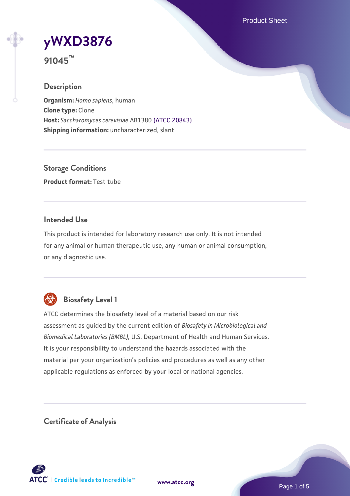Product Sheet

# **[yWXD3876](https://www.atcc.org/products/91045)**

**91045™**

# **Description**

**Organism:** *Homo sapiens*, human **Clone type:** Clone **Host:** *Saccharomyces cerevisiae* AB1380 [\(ATCC 20843\)](https://www.atcc.org/products/20843) **Shipping information:** uncharacterized, slant

**Storage Conditions Product format:** Test tube

# **Intended Use**

This product is intended for laboratory research use only. It is not intended for any animal or human therapeutic use, any human or animal consumption, or any diagnostic use.



# **Biosafety Level 1**

ATCC determines the biosafety level of a material based on our risk assessment as guided by the current edition of *Biosafety in Microbiological and Biomedical Laboratories (BMBL)*, U.S. Department of Health and Human Services. It is your responsibility to understand the hazards associated with the material per your organization's policies and procedures as well as any other applicable regulations as enforced by your local or national agencies.

**Certificate of Analysis**

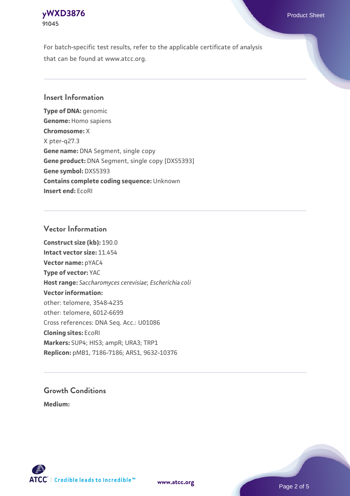# **[yWXD3876](https://www.atcc.org/products/91045)** Product Sheet **91045**

For batch-specific test results, refer to the applicable certificate of analysis that can be found at www.atcc.org.

# **Insert Information**

**Type of DNA:** genomic **Genome:** Homo sapiens **Chromosome:** X X pter-q27.3 **Gene name:** DNA Segment, single copy **Gene product:** DNA Segment, single copy [DXS5393] **Gene symbol:** DXS5393 **Contains complete coding sequence:** Unknown **Insert end:** EcoRI

# **Vector Information**

**Construct size (kb):** 190.0 **Intact vector size:** 11.454 **Vector name:** pYAC4 **Type of vector:** YAC **Host range:** *Saccharomyces cerevisiae*; *Escherichia coli* **Vector information:** other: telomere, 3548-4235 other: telomere, 6012-6699 Cross references: DNA Seq. Acc.: U01086 **Cloning sites:** EcoRI **Markers:** SUP4; HIS3; ampR; URA3; TRP1 **Replicon:** pMB1, 7186-7186; ARS1, 9632-10376

# **Growth Conditions**

**Medium:** 



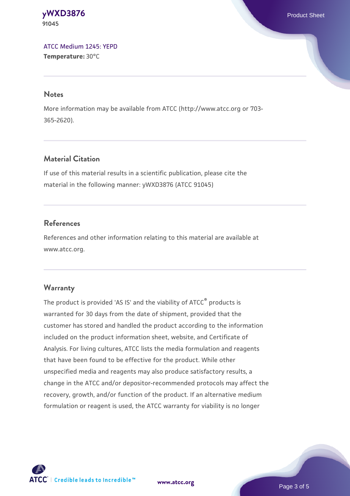**[yWXD3876](https://www.atcc.org/products/91045)** Product Sheet **91045**

[ATCC Medium 1245: YEPD](https://www.atcc.org/-/media/product-assets/documents/microbial-media-formulations/1/2/4/5/atcc-medium-1245.pdf?rev=705ca55d1b6f490a808a965d5c072196) **Temperature:** 30°C

#### **Notes**

More information may be available from ATCC (http://www.atcc.org or 703- 365-2620).

# **Material Citation**

If use of this material results in a scientific publication, please cite the material in the following manner: yWXD3876 (ATCC 91045)

# **References**

References and other information relating to this material are available at www.atcc.org.

#### **Warranty**

The product is provided 'AS IS' and the viability of ATCC® products is warranted for 30 days from the date of shipment, provided that the customer has stored and handled the product according to the information included on the product information sheet, website, and Certificate of Analysis. For living cultures, ATCC lists the media formulation and reagents that have been found to be effective for the product. While other unspecified media and reagents may also produce satisfactory results, a change in the ATCC and/or depositor-recommended protocols may affect the recovery, growth, and/or function of the product. If an alternative medium formulation or reagent is used, the ATCC warranty for viability is no longer

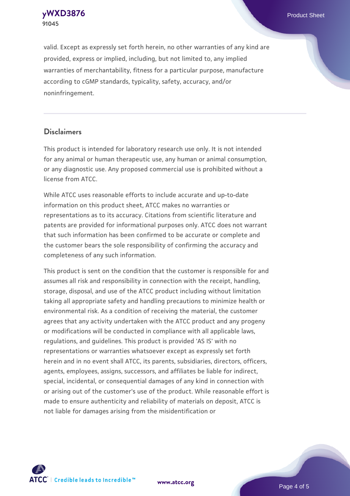**91045**

valid. Except as expressly set forth herein, no other warranties of any kind are provided, express or implied, including, but not limited to, any implied warranties of merchantability, fitness for a particular purpose, manufacture according to cGMP standards, typicality, safety, accuracy, and/or noninfringement.

#### **Disclaimers**

This product is intended for laboratory research use only. It is not intended for any animal or human therapeutic use, any human or animal consumption, or any diagnostic use. Any proposed commercial use is prohibited without a license from ATCC.

While ATCC uses reasonable efforts to include accurate and up-to-date information on this product sheet, ATCC makes no warranties or representations as to its accuracy. Citations from scientific literature and patents are provided for informational purposes only. ATCC does not warrant that such information has been confirmed to be accurate or complete and the customer bears the sole responsibility of confirming the accuracy and completeness of any such information.

This product is sent on the condition that the customer is responsible for and assumes all risk and responsibility in connection with the receipt, handling, storage, disposal, and use of the ATCC product including without limitation taking all appropriate safety and handling precautions to minimize health or environmental risk. As a condition of receiving the material, the customer agrees that any activity undertaken with the ATCC product and any progeny or modifications will be conducted in compliance with all applicable laws, regulations, and guidelines. This product is provided 'AS IS' with no representations or warranties whatsoever except as expressly set forth herein and in no event shall ATCC, its parents, subsidiaries, directors, officers, agents, employees, assigns, successors, and affiliates be liable for indirect, special, incidental, or consequential damages of any kind in connection with or arising out of the customer's use of the product. While reasonable effort is made to ensure authenticity and reliability of materials on deposit, ATCC is not liable for damages arising from the misidentification or



**[www.atcc.org](http://www.atcc.org)**

Page 4 of 5